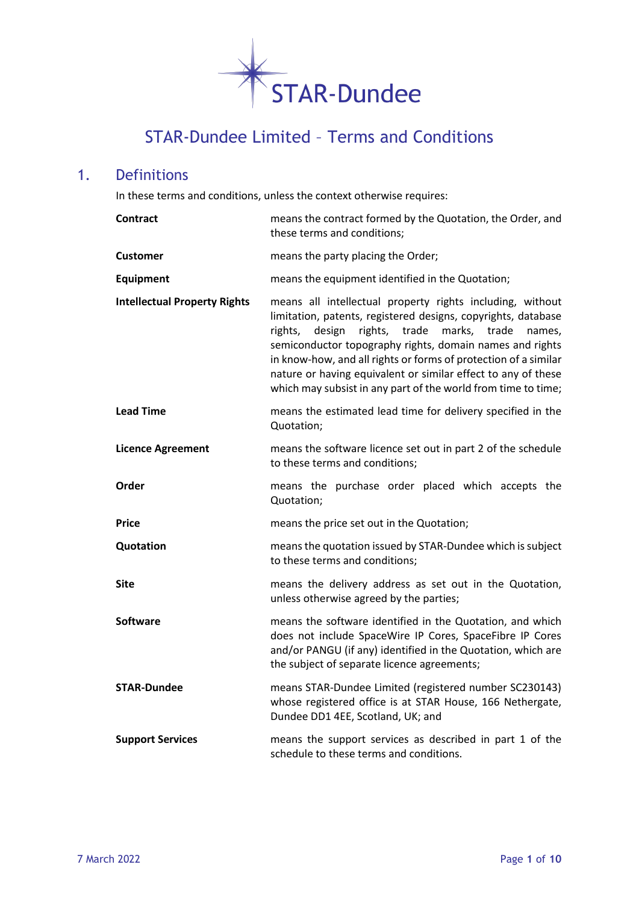

# STAR-Dundee Limited – Terms and Conditions

# 1. Definitions

In these terms and conditions, unless the context otherwise requires:

| <b>Contract</b>                     | means the contract formed by the Quotation, the Order, and<br>these terms and conditions;                                                                                                                                                                                                                                                                                                                                                                         |
|-------------------------------------|-------------------------------------------------------------------------------------------------------------------------------------------------------------------------------------------------------------------------------------------------------------------------------------------------------------------------------------------------------------------------------------------------------------------------------------------------------------------|
| <b>Customer</b>                     | means the party placing the Order;                                                                                                                                                                                                                                                                                                                                                                                                                                |
| Equipment                           | means the equipment identified in the Quotation;                                                                                                                                                                                                                                                                                                                                                                                                                  |
| <b>Intellectual Property Rights</b> | means all intellectual property rights including, without<br>limitation, patents, registered designs, copyrights, database<br>design<br>rights,<br>trade<br>marks,<br>trade<br>rights,<br>names,<br>semiconductor topography rights, domain names and rights<br>in know-how, and all rights or forms of protection of a similar<br>nature or having equivalent or similar effect to any of these<br>which may subsist in any part of the world from time to time; |
| <b>Lead Time</b>                    | means the estimated lead time for delivery specified in the<br>Quotation;                                                                                                                                                                                                                                                                                                                                                                                         |
| <b>Licence Agreement</b>            | means the software licence set out in part 2 of the schedule<br>to these terms and conditions;                                                                                                                                                                                                                                                                                                                                                                    |
| Order                               | means the purchase order placed which accepts the<br>Quotation;                                                                                                                                                                                                                                                                                                                                                                                                   |
| <b>Price</b>                        | means the price set out in the Quotation;                                                                                                                                                                                                                                                                                                                                                                                                                         |
| Quotation                           | means the quotation issued by STAR-Dundee which is subject<br>to these terms and conditions;                                                                                                                                                                                                                                                                                                                                                                      |
| <b>Site</b>                         | means the delivery address as set out in the Quotation,<br>unless otherwise agreed by the parties;                                                                                                                                                                                                                                                                                                                                                                |
| <b>Software</b>                     | means the software identified in the Quotation, and which<br>does not include SpaceWire IP Cores, SpaceFibre IP Cores<br>and/or PANGU (if any) identified in the Quotation, which are<br>the subject of separate licence agreements;                                                                                                                                                                                                                              |
| <b>STAR-Dundee</b>                  | means STAR-Dundee Limited (registered number SC230143)<br>whose registered office is at STAR House, 166 Nethergate,<br>Dundee DD1 4EE, Scotland, UK; and                                                                                                                                                                                                                                                                                                          |
| <b>Support Services</b>             | means the support services as described in part 1 of the<br>schedule to these terms and conditions.                                                                                                                                                                                                                                                                                                                                                               |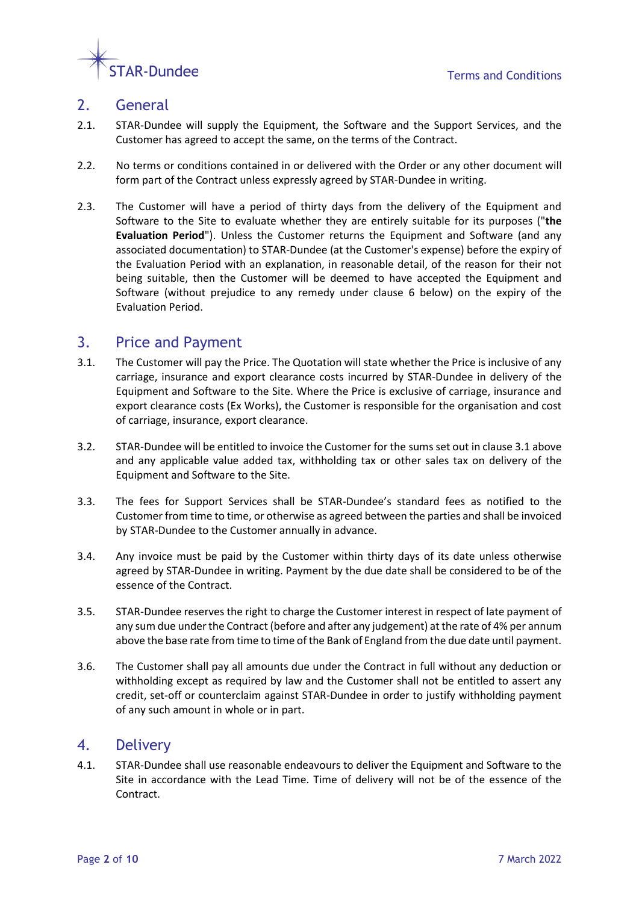

# 2. General

- 2.1. STAR-Dundee will supply the Equipment, the Software and the Support Services, and the Customer has agreed to accept the same, on the terms of the Contract.
- 2.2. No terms or conditions contained in or delivered with the Order or any other document will form part of the Contract unless expressly agreed by STAR-Dundee in writing.
- 2.3. The Customer will have a period of thirty days from the delivery of the Equipment and Software to the Site to evaluate whether they are entirely suitable for its purposes ("**the Evaluation Period**"). Unless the Customer returns the Equipment and Software (and any associated documentation) to STAR-Dundee (at the Customer's expense) before the expiry of the Evaluation Period with an explanation, in reasonable detail, of the reason for their not being suitable, then the Customer will be deemed to have accepted the Equipment and Software (without prejudice to any remedy under clause [6](#page-2-0) below) on the expiry of the Evaluation Period.

## <span id="page-1-1"></span>3. Price and Payment

- <span id="page-1-0"></span>3.1. The Customer will pay the Price. The Quotation will state whether the Price is inclusive of any carriage, insurance and export clearance costs incurred by STAR-Dundee in delivery of the Equipment and Software to the Site. Where the Price is exclusive of carriage, insurance and export clearance costs (Ex Works), the Customer is responsible for the organisation and cost of carriage, insurance, export clearance.
- <span id="page-1-2"></span>3.2. STAR-Dundee will be entitled to invoice the Customer for the sums set out in clause [3.1](#page-1-0) above and any applicable value added tax, withholding tax or other sales tax on delivery of the Equipment and Software to the Site.
- 3.3. The fees for Support Services shall be STAR-Dundee's standard fees as notified to the Customer from time to time, or otherwise as agreed between the parties and shall be invoiced by STAR-Dundee to the Customer annually in advance.
- 3.4. Any invoice must be paid by the Customer within thirty days of its date unless otherwise agreed by STAR-Dundee in writing. Payment by the due date shall be considered to be of the essence of the Contract.
- 3.5. STAR-Dundee reserves the right to charge the Customer interest in respect of late payment of any sum due under the Contract (before and after any judgement) at the rate of 4% per annum above the base rate from time to time of the Bank of England from the due date until payment.
- 3.6. The Customer shall pay all amounts due under the Contract in full without any deduction or withholding except as required by law and the Customer shall not be entitled to assert any credit, set-off or counterclaim against STAR-Dundee in order to justify withholding payment of any such amount in whole or in part.

### 4. Delivery

4.1. STAR-Dundee shall use reasonable endeavours to deliver the Equipment and Software to the Site in accordance with the Lead Time. Time of delivery will not be of the essence of the Contract.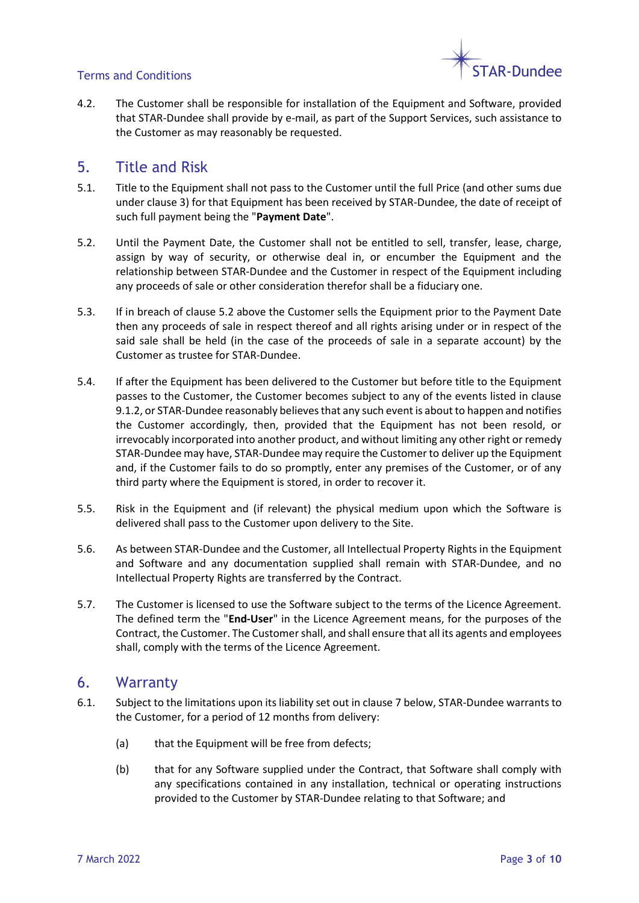

#### Terms and Conditions

4.2. The Customer shall be responsible for installation of the Equipment and Software, provided that STAR-Dundee shall provide by e-mail, as part of the Support Services, such assistance to the Customer as may reasonably be requested.

### 5. Title and Risk

- 5.1. Title to the Equipment shall not pass to the Customer until the full Price (and other sums due under claus[e 3\)](#page-1-1) for that Equipment has been received by STAR-Dundee, the date of receipt of such full payment being the "**Payment Date**".
- <span id="page-2-1"></span>5.2. Until the Payment Date, the Customer shall not be entitled to sell, transfer, lease, charge, assign by way of security, or otherwise deal in, or encumber the Equipment and the relationship between STAR-Dundee and the Customer in respect of the Equipment including any proceeds of sale or other consideration therefor shall be a fiduciary one.
- 5.3. If in breach of clause [5.2](#page-2-1) above the Customer sells the Equipment prior to the Payment Date then any proceeds of sale in respect thereof and all rights arising under or in respect of the said sale shall be held (in the case of the proceeds of sale in a separate account) by the Customer as trustee for STAR-Dundee.
- 5.4. If after the Equipment has been delivered to the Customer but before title to the Equipment passes to the Customer, the Customer becomes subject to any of the events listed in clause [9.1.2,](#page-4-0) or STAR-Dundee reasonably believes that any such event is about to happen and notifies the Customer accordingly, then, provided that the Equipment has not been resold, or irrevocably incorporated into another product, and without limiting any other right or remedy STAR-Dundee may have, STAR-Dundee may require the Customer to deliver up the Equipment and, if the Customer fails to do so promptly, enter any premises of the Customer, or of any third party where the Equipment is stored, in order to recover it.
- 5.5. Risk in the Equipment and (if relevant) the physical medium upon which the Software is delivered shall pass to the Customer upon delivery to the Site.
- 5.6. As between STAR-Dundee and the Customer, all Intellectual Property Rights in the Equipment and Software and any documentation supplied shall remain with STAR-Dundee, and no Intellectual Property Rights are transferred by the Contract.
- 5.7. The Customer is licensed to use the Software subject to the terms of the Licence Agreement. The defined term the "**End-User**" in the Licence Agreement means, for the purposes of the Contract, the Customer. The Customer shall, and shall ensure that all its agents and employees shall, comply with the terms of the Licence Agreement.

### <span id="page-2-0"></span>6. Warranty

- <span id="page-2-2"></span>6.1. Subject to the limitations upon its liability set out in claus[e 7](#page-3-0) below, STAR-Dundee warrants to the Customer, for a period of 12 months from delivery:
	- (a) that the Equipment will be free from defects;
	- (b) that for any Software supplied under the Contract, that Software shall comply with any specifications contained in any installation, technical or operating instructions provided to the Customer by STAR-Dundee relating to that Software; and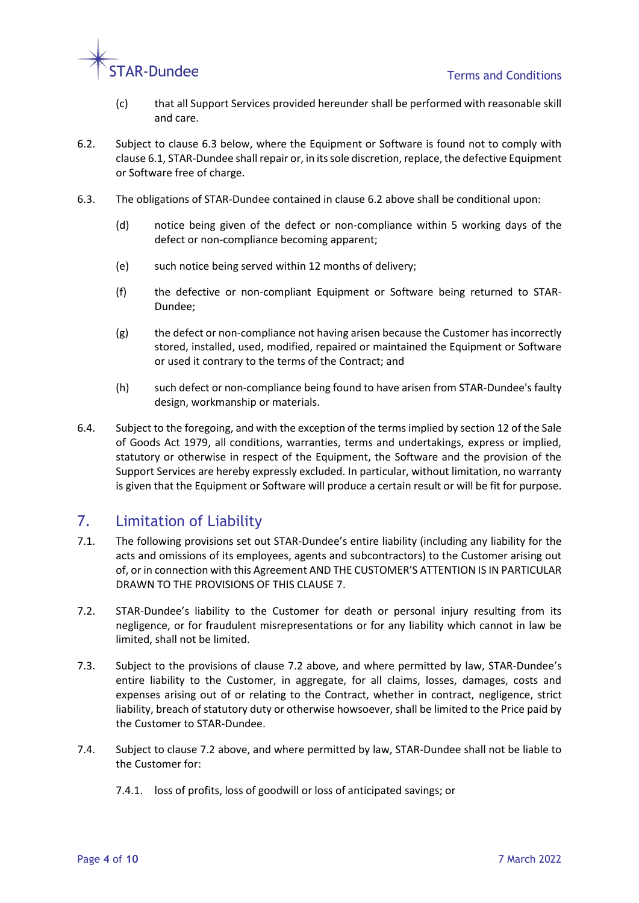

- (c) that all Support Services provided hereunder shall be performed with reasonable skill and care.
- <span id="page-3-2"></span>6.2. Subject to clause [6.3](#page-3-1) below, where the Equipment or Software is found not to comply with claus[e 6.1,](#page-2-2) STAR-Dundee shall repair or, in its sole discretion, replace, the defective Equipment or Software free of charge.
- <span id="page-3-1"></span>6.3. The obligations of STAR-Dundee contained in claus[e 6.2](#page-3-2) above shall be conditional upon:
	- (d) notice being given of the defect or non-compliance within 5 working days of the defect or non-compliance becoming apparent;
	- (e) such notice being served within 12 months of delivery;
	- (f) the defective or non-compliant Equipment or Software being returned to STAR-Dundee;
	- (g) the defect or non-compliance not having arisen because the Customer has incorrectly stored, installed, used, modified, repaired or maintained the Equipment or Software or used it contrary to the terms of the Contract; and
	- (h) such defect or non-compliance being found to have arisen from STAR-Dundee's faulty design, workmanship or materials.
- 6.4. Subject to the foregoing, and with the exception of the terms implied by section 12 of the Sale of Goods Act 1979, all conditions, warranties, terms and undertakings, express or implied, statutory or otherwise in respect of the Equipment, the Software and the provision of the Support Services are hereby expressly excluded. In particular, without limitation, no warranty is given that the Equipment or Software will produce a certain result or will be fit for purpose.

# <span id="page-3-0"></span>7. Limitation of Liability

- 7.1. The following provisions set out STAR-Dundee's entire liability (including any liability for the acts and omissions of its employees, agents and subcontractors) to the Customer arising out of, or in connection with this Agreement AND THE CUSTOMER'S ATTENTION IS IN PARTICULAR DRAWN TO THE PROVISIONS OF THIS CLAUSE [7.](#page-3-0)
- <span id="page-3-3"></span>7.2. STAR-Dundee's liability to the Customer for death or personal injury resulting from its negligence, or for fraudulent misrepresentations or for any liability which cannot in law be limited, shall not be limited.
- 7.3. Subject to the provisions of clause [7.2](#page-3-3) above, and where permitted by law, STAR-Dundee's entire liability to the Customer, in aggregate, for all claims, losses, damages, costs and expenses arising out of or relating to the Contract, whether in contract, negligence, strict liability, breach of statutory duty or otherwise howsoever, shall be limited to the Price paid by the Customer to STAR-Dundee.
- 7.4. Subject to clause [7.2](#page-3-3) above, and where permitted by law, STAR-Dundee shall not be liable to the Customer for:
	- 7.4.1. loss of profits, loss of goodwill or loss of anticipated savings; or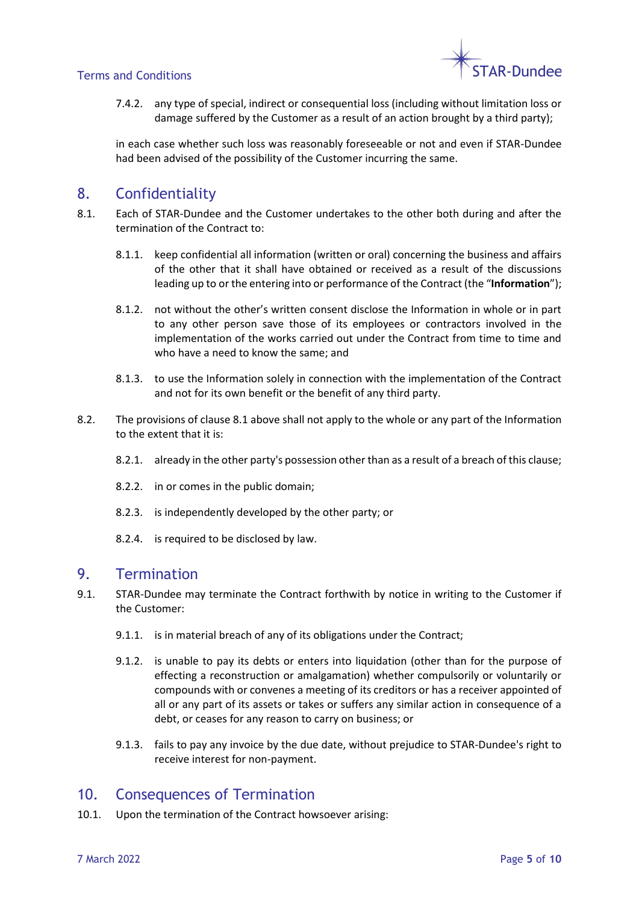

#### Terms and Conditions

7.4.2. any type of special, indirect or consequential loss (including without limitation loss or damage suffered by the Customer as a result of an action brought by a third party);

in each case whether such loss was reasonably foreseeable or not and even if STAR-Dundee had been advised of the possibility of the Customer incurring the same.

# 8. Confidentiality

- <span id="page-4-1"></span>8.1. Each of STAR-Dundee and the Customer undertakes to the other both during and after the termination of the Contract to:
	- 8.1.1. keep confidential all information (written or oral) concerning the business and affairs of the other that it shall have obtained or received as a result of the discussions leading up to or the entering into or performance of the Contract (the "**Information**");
	- 8.1.2. not without the other's written consent disclose the Information in whole or in part to any other person save those of its employees or contractors involved in the implementation of the works carried out under the Contract from time to time and who have a need to know the same; and
	- 8.1.3. to use the Information solely in connection with the implementation of the Contract and not for its own benefit or the benefit of any third party.
- 8.2. The provisions of clause [8.1](#page-4-1) above shall not apply to the whole or any part of the Information to the extent that it is:
	- 8.2.1. already in the other party's possession other than as a result of a breach of this clause;
	- 8.2.2. in or comes in the public domain;
	- 8.2.3. is independently developed by the other party; or
	- 8.2.4. is required to be disclosed by law.

### 9. Termination

- <span id="page-4-0"></span>9.1. STAR-Dundee may terminate the Contract forthwith by notice in writing to the Customer if the Customer:
	- 9.1.1. is in material breach of any of its obligations under the Contract;
	- 9.1.2. is unable to pay its debts or enters into liquidation (other than for the purpose of effecting a reconstruction or amalgamation) whether compulsorily or voluntarily or compounds with or convenes a meeting of its creditors or has a receiver appointed of all or any part of its assets or takes or suffers any similar action in consequence of a debt, or ceases for any reason to carry on business; or
	- 9.1.3. fails to pay any invoice by the due date, without prejudice to STAR-Dundee's right to receive interest for non-payment.

## 10. Consequences of Termination

10.1. Upon the termination of the Contract howsoever arising: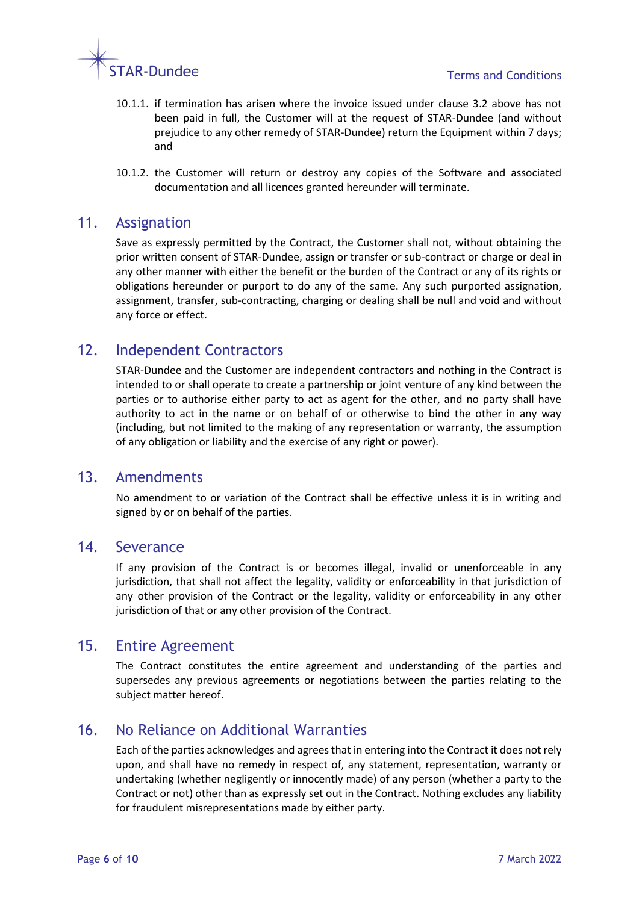

- 10.1.1. if termination has arisen where the invoice issued under clause [3.2](#page-1-2) above has not been paid in full, the Customer will at the request of STAR-Dundee (and without prejudice to any other remedy of STAR-Dundee) return the Equipment within 7 days; and
- 10.1.2. the Customer will return or destroy any copies of the Software and associated documentation and all licences granted hereunder will terminate.

### 11. Assignation

Save as expressly permitted by the Contract, the Customer shall not, without obtaining the prior written consent of STAR-Dundee, assign or transfer or sub-contract or charge or deal in any other manner with either the benefit or the burden of the Contract or any of its rights or obligations hereunder or purport to do any of the same. Any such purported assignation, assignment, transfer, sub-contracting, charging or dealing shall be null and void and without any force or effect.

## 12. Independent Contractors

STAR-Dundee and the Customer are independent contractors and nothing in the Contract is intended to or shall operate to create a partnership or joint venture of any kind between the parties or to authorise either party to act as agent for the other, and no party shall have authority to act in the name or on behalf of or otherwise to bind the other in any way (including, but not limited to the making of any representation or warranty, the assumption of any obligation or liability and the exercise of any right or power).

### 13. Amendments

No amendment to or variation of the Contract shall be effective unless it is in writing and signed by or on behalf of the parties.

### 14. Severance

If any provision of the Contract is or becomes illegal, invalid or unenforceable in any jurisdiction, that shall not affect the legality, validity or enforceability in that jurisdiction of any other provision of the Contract or the legality, validity or enforceability in any other jurisdiction of that or any other provision of the Contract.

#### 15. Entire Agreement

The Contract constitutes the entire agreement and understanding of the parties and supersedes any previous agreements or negotiations between the parties relating to the subject matter hereof.

# 16. No Reliance on Additional Warranties

Each of the parties acknowledges and agrees that in entering into the Contract it does not rely upon, and shall have no remedy in respect of, any statement, representation, warranty or undertaking (whether negligently or innocently made) of any person (whether a party to the Contract or not) other than as expressly set out in the Contract. Nothing excludes any liability for fraudulent misrepresentations made by either party.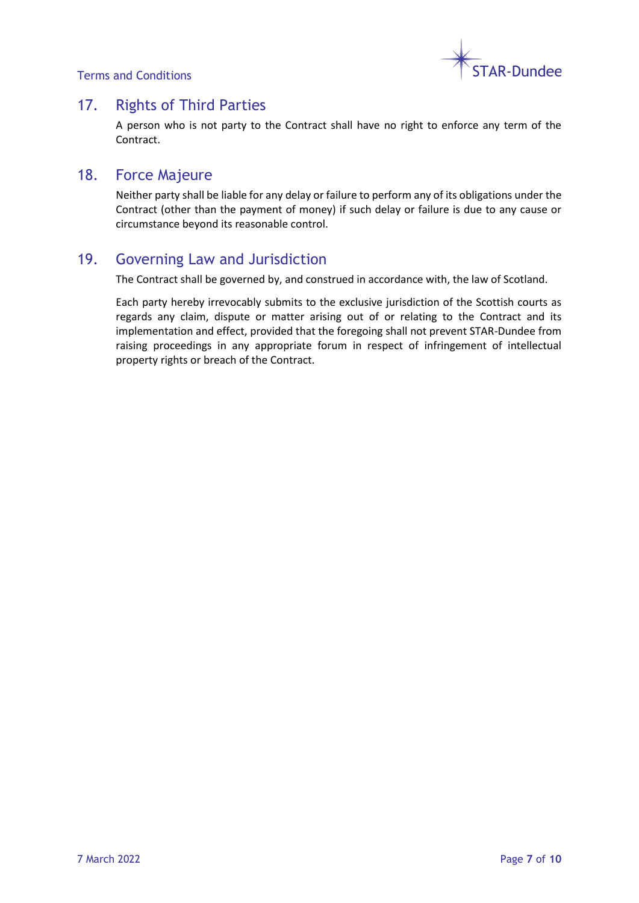Terms and Conditions



# 17. Rights of Third Parties

A person who is not party to the Contract shall have no right to enforce any term of the Contract.

### 18. Force Majeure

Neither party shall be liable for any delay or failure to perform any of its obligations under the Contract (other than the payment of money) if such delay or failure is due to any cause or circumstance beyond its reasonable control.

# 19. Governing Law and Jurisdiction

The Contract shall be governed by, and construed in accordance with, the law of Scotland.

Each party hereby irrevocably submits to the exclusive jurisdiction of the Scottish courts as regards any claim, dispute or matter arising out of or relating to the Contract and its implementation and effect, provided that the foregoing shall not prevent STAR-Dundee from raising proceedings in any appropriate forum in respect of infringement of intellectual property rights or breach of the Contract.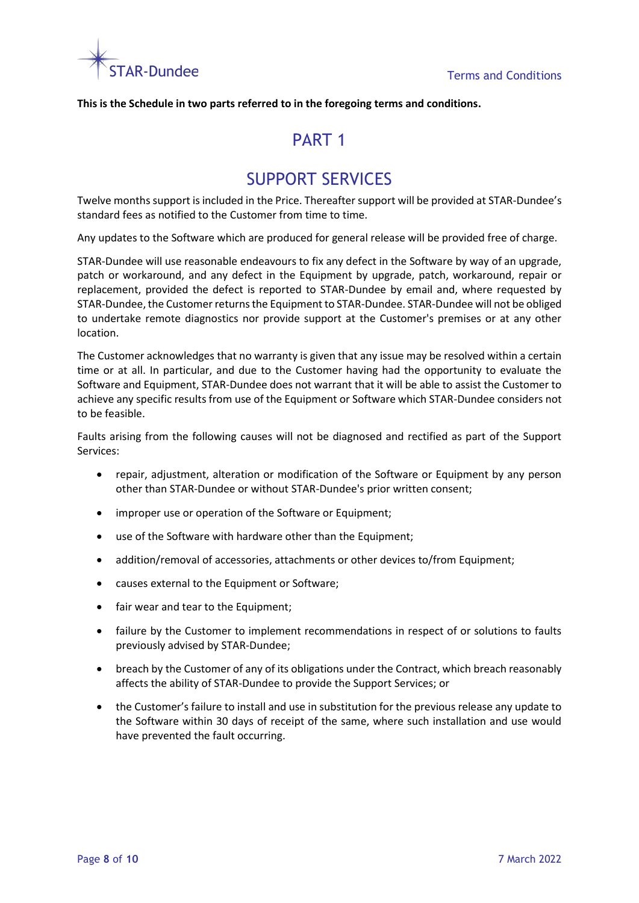

**This is the Schedule in two parts referred to in the foregoing terms and conditions.**

# PART<sub>1</sub>

# SUPPORT SERVICES

Twelve months support is included in the Price. Thereafter support will be provided at STAR-Dundee's standard fees as notified to the Customer from time to time.

Any updates to the Software which are produced for general release will be provided free of charge.

STAR-Dundee will use reasonable endeavours to fix any defect in the Software by way of an upgrade, patch or workaround, and any defect in the Equipment by upgrade, patch, workaround, repair or replacement, provided the defect is reported to STAR-Dundee by email and, where requested by STAR-Dundee, the Customer returns the Equipment to STAR-Dundee. STAR-Dundee will not be obliged to undertake remote diagnostics nor provide support at the Customer's premises or at any other location.

The Customer acknowledges that no warranty is given that any issue may be resolved within a certain time or at all. In particular, and due to the Customer having had the opportunity to evaluate the Software and Equipment, STAR-Dundee does not warrant that it will be able to assist the Customer to achieve any specific results from use of the Equipment or Software which STAR-Dundee considers not to be feasible.

Faults arising from the following causes will not be diagnosed and rectified as part of the Support Services:

- repair, adjustment, alteration or modification of the Software or Equipment by any person other than STAR-Dundee or without STAR-Dundee's prior written consent;
- improper use or operation of the Software or Equipment;
- use of the Software with hardware other than the Equipment;
- addition/removal of accessories, attachments or other devices to/from Equipment;
- causes external to the Equipment or Software;
- fair wear and tear to the Equipment;
- failure by the Customer to implement recommendations in respect of or solutions to faults previously advised by STAR-Dundee;
- breach by the Customer of any of its obligations under the Contract, which breach reasonably affects the ability of STAR-Dundee to provide the Support Services; or
- the Customer's failure to install and use in substitution for the previous release any update to the Software within 30 days of receipt of the same, where such installation and use would have prevented the fault occurring.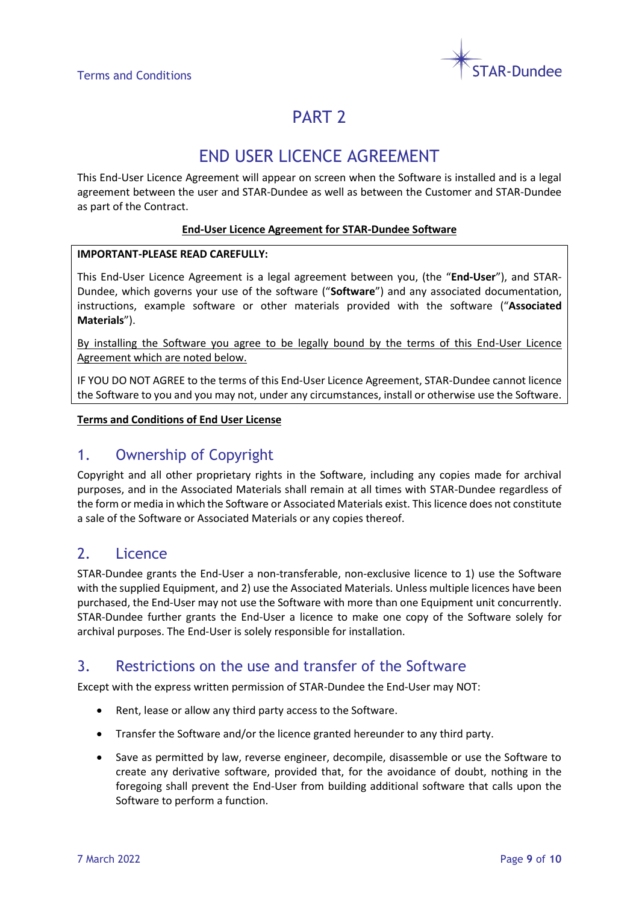

# PART<sub>2</sub>

# END USER LICENCE AGREEMENT

This End-User Licence Agreement will appear on screen when the Software is installed and is a legal agreement between the user and STAR-Dundee as well as between the Customer and STAR-Dundee as part of the Contract.

#### **End-User Licence Agreement for STAR-Dundee Software**

#### **IMPORTANT-PLEASE READ CAREFULLY:**

This End-User Licence Agreement is a legal agreement between you, (the "**End-User**"), and STAR-Dundee, which governs your use of the software ("**Software**") and any associated documentation, instructions, example software or other materials provided with the software ("**Associated Materials**").

By installing the Software you agree to be legally bound by the terms of this End-User Licence Agreement which are noted below.

IF YOU DO NOT AGREE to the terms of this End-User Licence Agreement, STAR-Dundee cannot licence the Software to you and you may not, under any circumstances, install or otherwise use the Software.

#### **Terms and Conditions of End User License**

## 1. Ownership of Copyright

Copyright and all other proprietary rights in the Software, including any copies made for archival purposes, and in the Associated Materials shall remain at all times with STAR-Dundee regardless of the form or media in which the Software or Associated Materials exist. This licence does not constitute a sale of the Software or Associated Materials or any copies thereof.

## 2. Licence

STAR-Dundee grants the End-User a non-transferable, non-exclusive licence to 1) use the Software with the supplied Equipment, and 2) use the Associated Materials. Unless multiple licences have been purchased, the End-User may not use the Software with more than one Equipment unit concurrently. STAR-Dundee further grants the End-User a licence to make one copy of the Software solely for archival purposes. The End-User is solely responsible for installation.

# 3. Restrictions on the use and transfer of the Software

Except with the express written permission of STAR-Dundee the End-User may NOT:

- Rent, lease or allow any third party access to the Software.
- Transfer the Software and/or the licence granted hereunder to any third party.
- Save as permitted by law, reverse engineer, decompile, disassemble or use the Software to create any derivative software, provided that, for the avoidance of doubt, nothing in the foregoing shall prevent the End-User from building additional software that calls upon the Software to perform a function.